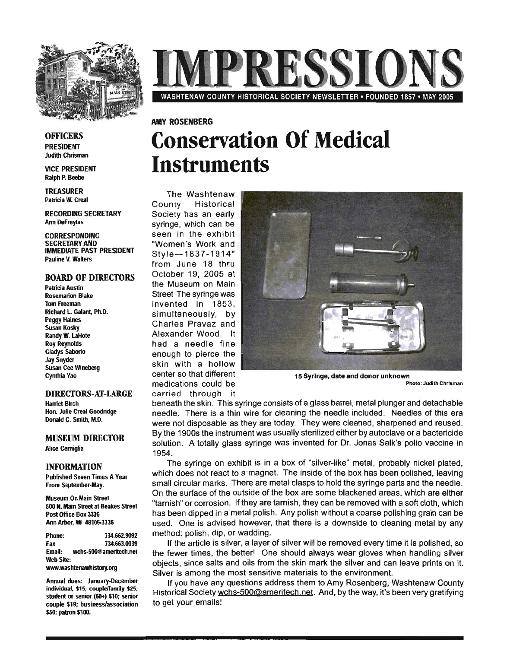

# **RESSIO** WASHTENAW COUNTY HISTORICAL SOCIETY NEWSLETTER • FOUNDED 1857 • MAY 2005

**OFFICERS** PRESIDENT

**Judith Chrisman** VICE PRESIDENT

Ralph P. Beebe

TREASURER Patricia W. Creal

RECORDING SECRETARY Ann DeFreytas

CORRESPONDING SECRETARY AND IMMEDIATE PAST PRESIDENT Pauline V. Walters

### BOARD OF DIRECTORS

Patricia Austin Rosemarion Blake Tom Freeman Richard L. Galant. Ph.D. Peggy Haines Susan Kosky Randy W. LaHote Roy Reynolds Gladys Saborio Jay Snyder Susan Cee Wineberg Cynthia Vao

### DIRECTORS-AT-LARGE

Harriet Birch Hon. Julie Creal Goodridge Donald C. Smith, M.D.

MUSEUM DIRECTOR Alice Cerniglia

### INFORMATION'

Published Seven Times A Year From September·May.

Museum On Main Street 500 N. Main Street at Beakes Street Post Office Box 3336 Ann Arbor, MI 48106-3336

Phone: 734.662.9092 Fax 734.663.0039 Email: wchs-500@ameritech.net Web Site: www.washtenawhistory.org

Annual dues: January-December individual, \$15; couple/family \$25; student or senior (60+) \$10; senior couple \$19; business/association \$50; patron \$100.

## **Conservation Of Medical Instruments**

The Washtenaw County Historical Society has an early syringe, which can be seen in the exhibit "Women's Work and Style-1837 -1914" from June 18 thru October 19, 2005 at the Museum on Main Street The syringe was invented in 1853, simultaneously, by Charles Pravaz and Alexander Wood. It had a needle fine enough to pierce the skin with a hollow center so that different medications could be carried through it

AMY ROSENBERG



15 Syringe, date and donor unknown Photo: Judith Chrlaman

beneath the skin. This syringe consists of a glass barrel, metal plunger and detachable needle. There is a thin wire for cleaning the needle included. Needles of this era were not disposable as they are today. They were cleaned, sharpened and reused. By the 1900s the instrument was usually sterilized either by autoclave or a bactericide solution. A totally glass syringe was invented for Dr. Jonas Salk's polio vaccine in 1954. .

The syringe on exhibit is in a box of "silver-like" metal, probably nickel plated, which does not react to a magnet. The inside of the box has been polished, leaving small circular marks. There are metal clasps to hold the syringe parts and the needle. On the surface of the outside of the box are some blackened areas, which are either "tarnish" or corrosion. If they are tarnish, they can be removed with a soft cloth, which has been dipped in a metal polish. Any polish without a coarse polishing grain can be used. One is advised however, that there is a downside to cleaning metal by any method: polish, dip, or wadding.

If the article is silver, a layer of silver will be removed every time it is polished, so the fewer times, the better! One should always wear gloves when handling silver objects, since salts and oils from the skin mark the silver and can leave prints on it. Silver is among the most sensitive materials to the environment.

If you have any questions address them to Amy Rosenberg, Washtenaw County Historical Society wchs-500@ameritech.net. And, by the way, it's been very gratifying to get your emails!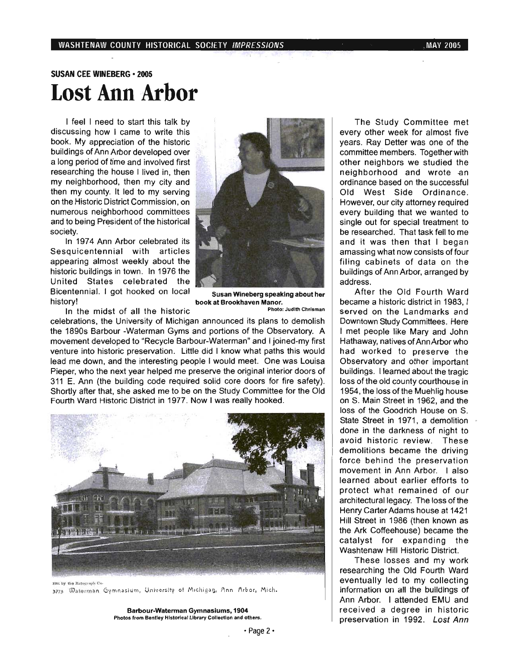### SUSAN CEE WINEBERG· 2005 **Lost Ann Arbor**

I feel I need to start this talk by discussing how I came to write this book. My appreciation of the historic buildings of Ann Arbor developed over a long period of time and involved first researching the house I lived in, then my neighborhood, then my city and then my county. It led to my serving on the Historic District Commission, on numerous neighborhood committees and to being President of the historical society.

In 1974 Ann Arbor celebrated its Sesquicentennial with articles appearing almost weekly about the historic buildings in town. In 1976 the United States celebrated the Bicentennial. I got hooked on local Susan Wineberg speaking about her history! book at Brookhaven Manor.



In the midst of all the historic **Photo: Judith Chrisman** 

celebrations, the University of Michigan announced its plans to demolish the 1890s Barbour -Waterman Gyms and portions of the Observatory. A movement developed to "Recycle Barbour-Waterman" and I joined-my first venture into historic preservation. Little did I know what paths this would lead me down, and the interesting people I would meet. One was Louisa Pieper, who the next year helped me preserve the original interior doors of 311 E. Ann (the building code required solid core doors for fire safety). Shortly after that, she asked me to be on the Study Committee for the Old Fourth Ward Historic District in 1977. Now I was really hooked.



just by the Rotograph Co. 3775 Waterman Gymnasium, University of Michigan, Ann Arbor, Mich.

Barbour-Waterman Gymnasiums, 1904 Photos from Bentley Historical Library Collection and others.

The Study Committee met every other week for almost five years. Ray Detter was one of the committee members. Together with other neighbors we studied the neighborhood and wrote an ordinance based on the successful Old West Side Ordinance. However. our city attorney required every building that we wanted to single out for special treatment to be researched. That task fell to me and it was then that I began amassing what now consists of four filing cabinets of data on the buildings of Ann Arbor, arranged by address.

After the Old Fourth Ward became a historic district in 1983, I served on the Landmarks and Downtown Study Committees. Here I met people like Mary and John Hathaway, natives of Ann Arbor who had worked to preserve the Observatory and other important buildings. I learned about the tragic loss of the old county courthouse in 1954, the loss of the Muehlig house on S. Main Street in 1962, and the loss of the Goodrich House on S. State Street in 1971, a demolition done in the darkness of night to avoid historic review. These demolitions became the driving force behind the preservation movement in Ann Arbor. I also learned about earlier efforts to protect what remained of our architectural legacy. The loss of the Henry Carter Adams house at 1421 Hill Street in 1986 (then known as the Ark Coffeehouse) became the catalyst for expanding the Washtenaw Hill Historic District.

These losses and my work researching the Old Fourth Ward eventually led to my collecting information on all the buildings of Ann Arbor. I attended EMU and received a degree in historic preservation in 1992. Lost Ann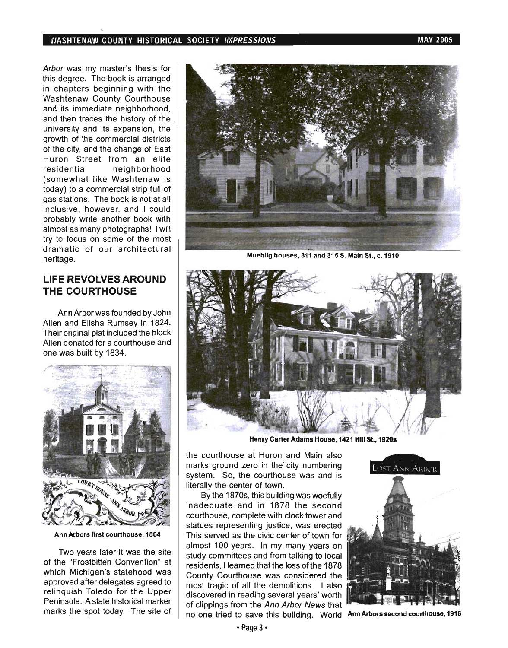### WASHTENAW COUNTY HISTORICAL SOCIETY IMPRESSIONS And the contract of the may 2005

Arbor was my master's thesis for this degree. The book is arranged in chapters beginning with the Washtenaw County Courthouse and its immediate neighborhood, and then traces the history of the . university and its expansion, the growth of the commercial districts of the city, and the change of East Huron Street from an elite residential neighborhood (somewhat like Washtenaw is today) to a commercial strip full of gas stations. The book is not at all inclusive, however, and I could probably write another book with almost as many photographs! I will try to focus on some of the most dramatic of our architectural heritage.

### LIFE REVOLVES AROUND THE COURTHOUSE

Ann Arbor was founded by John Allen and Elisha Rumsey in 1824. Their original plat included the block Allen donated for a courthouse and one was built by 1834.



Ann Arbors first courthouse, 1864

Two years later it was the site of the "Frostbitten Convention" at which Michigan's statehood was approved after delegates agreed to relinquish Toledo for the Upper Peninsula. A state historical marker . marks the spot today. The site of



Muehlig houses, 311 and 315 S. Main St., c. 1910



Henry Carter Adams House, 1421 Hill St., 1920s

the courthouse at Huron and Main also marks ground zero in the city numbering system. So, the courthouse was and is literally the center of town.

By the 1870s, this building was woefully inadequate and in 1878 the second courthouse, complete with clock tower and statues representing justice, was erected This served as the civic center of town for almost 100 years. In my many years on study committees and from talking to local residents, I learned that the loss of the 1878 County Courthouse was considered the most tragic of all the demolitions. I also discovered in reading several years' worth of clippings from the Ann Arbor News that no one tried to save this building. World Ann Arbors second courthouse, 1916

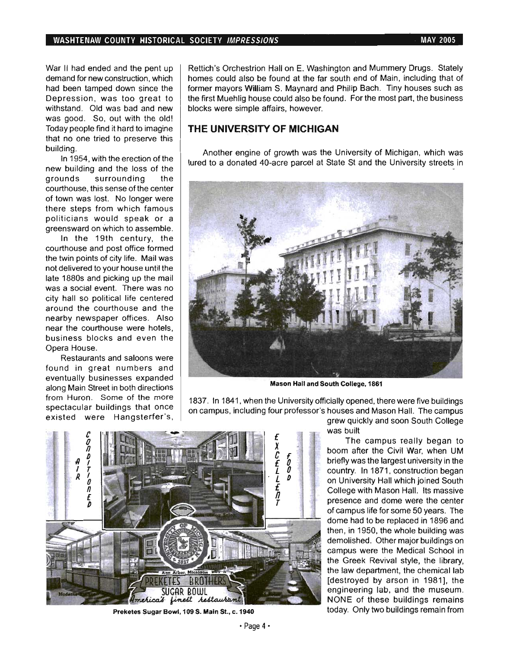#### WASHTENAW COUNTY HISTORICAL SOCIETY IMPRESSIONS **MAY 2005** MAY 2005

War II had ended and the pent up demand for new construction, which had been tamped down since the Depression, was too great to withstand. Old was bad and new was good. So, out with the old! Today people find it hard to imagine that no one tried to preserve this building.

In 1954, with the erection of the new building and the loss of the grounds surrounding the courthouse, this sense of the center of town was lost. No longer were there steps from which famous politicians would speak or a greensward on which to assemble.

In the 19th century, the courthouse and post office formed the twin points of city life. Mail was not delivered to your house until the late 1880s and picking up the mail was a social event. There was no city hall so political life centered around the courthouse and the nearby newspaper offices. Also near the courthouse were hotels, business blocks and even the Opera House.

Restaurants and saloons were found in great numbers and eventually businesses expanded along Main Street in both directions from Huron. Some of the more spectacular buildings that once existed were Hangsterfer's, Rettich's Orchestrion Hall on E. Washington and Mummery Drugs. Stately homes could also be found at the far south end of Main, including that of former mayors William S. Maynard and Philip Bach. Tiny houses such as the first Muehlig house could also be found. For the most part, the business blocks were simple affairs, however.

### **THE UNIVERSITY OF MICHIGAN**

Another engine of growth was the University of Michigan, which was lured to a donated 40-acre parcel at State St and the University streets in



Mason Hall and South College, 1861

1837. In 1841, when the University officially opened, there were five buildings on campus, including four professor's houses and Mason Hall. The campus



Preketes Sugar Bowl, 109 S. Main St., c. 1940

grew quickly and soon South College was built

The campus really began to boom after the Civil War, when UM briefly was the largest university in the country. In 1871, construction began on University Hall which joined South College with Mason Hall. Its massive presence and dome were the center of campus life for some 50 years. The dome had to be replaced in 1896 and then, in 1950, the whole building was demolished. Other major buildings on campus were the Medical School in the Greek Revival style, the library, the law department, the chemical lab [destroyed by arson in 1981], the engineering lab, and the museum. NONE of these buildings remains today. Only two buildings remain from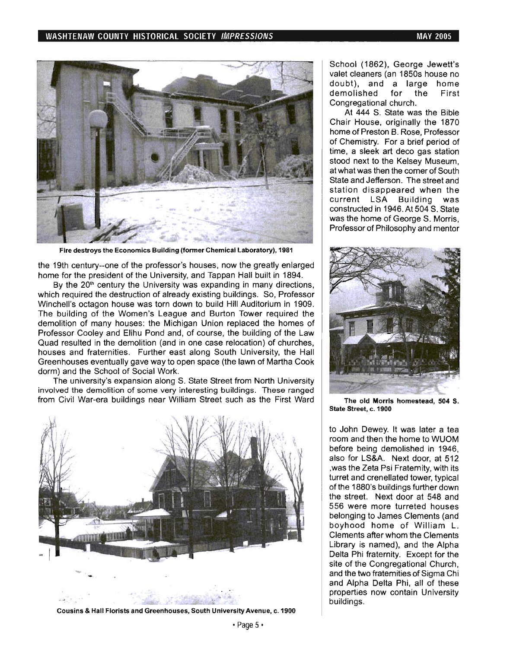### WASHTENAW COUNTY HISTORICAL SOCIETY IMPRESSIONS AND MALL COUNTY AND MAY 2005



Fire destroys the Economics Building (former Chemical Laboratory), 1981

the 19th century--one of the professor's houses, now the greatly enlarged home for the president of the University, and Tappan Hall built in 1894.

By the  $20<sup>th</sup>$  century the University was expanding in many directions, which required the destruction of already existing buildings. So, Professor Winchell's octagon house was torn down to build Hill Auditorium in 1909. The building of the Women's League and Burton Tower required the demolition of many houses: the Michigan Union replaced the homes of Professor Cooley and Elihu Pond and, of course, the building of the Law . Quad resulted in the demolition (and in one case relocation) of churches, houses and fraternities. Further east along South University, the Hall Greenhouses eventually gave way to open space (the lawn of Martha Cook dorm) and the School of Social Work.

The university's expansion along S. State Street from North University involved the demolition of some very interesting buildings. These ranged from Civil War-era buildings near William Street such as the First Ward The old Morris homestead, 504 S.



Cousins & Hall Florists and Greenhouses, South University Avenue, c. 1900

School (1862), George Jewett's valet cleaners (an 1850s house no doubt), and a large home demolished for the First Congregational church.

At 444 S. State was the Bible Chair House, originally the 1870 home of Preston B. Rose, Professor of Chemistry. For a brief period of time, a sleek art deco gas station stood next to the Kelsey Museum, at what was then the comer of South State and Jefferson. The street and station disappeared when the current LSA Building was constructed in 1946. At 504 S. State was the home of George S. Morris, Professor of Philosophy and mentor



State Street, c. 1900

to John Dewey. It was later a tea room and then the home to WUOM before being demolished in 1946, also for LS&A. Next door, at 512 ,was the Zeta Psi Fraternity, with its turret and crenellated tower, typical of the 1880's buildings further down the street. Next door at 548 and 556 were more turreted houses belonging to James Clements (and boyhood home of William L. Clements after whom the Clements Library is named), and the Alpha Delta Phi fraternity. Except for the site of the Congregational Church, and the two fraternities of Sigma Chi and Alpha Delta Phi, all of these properties now contain University buildings .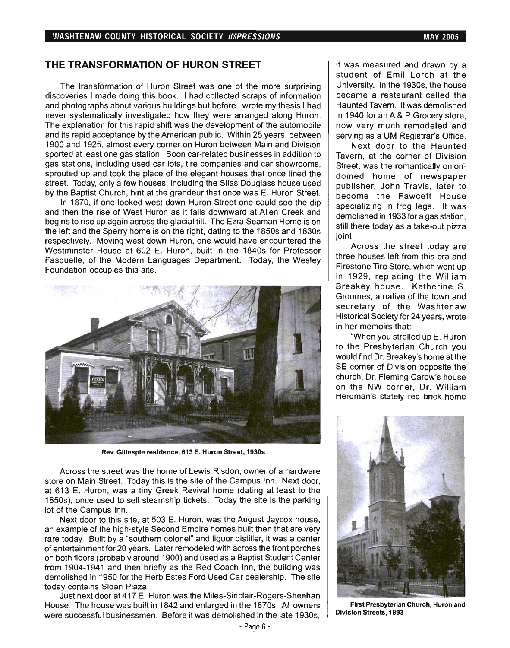### **THE TRANSFORMATION OF HURON STREET**

The transformation of Huron Street was one of the more surprising discoveries I made doing this book. I had collected scraps of information and photographs about various buildings but before I wrote my thesis I had never systematically investigated how they were arranged along Huron. The explanation for this rapid shift was the development of the automobile and its rapid acceptance by the American public. Within 25 years, between 1900 and 1925, almost every corner on Huron between Main and Division sported at least one gas station. Soon car-related businesses in addition to gas stations, including used car lots, tire companies and car showrooms, sprouted up and took the place of the elegant houses that once lined the street. Today, only a few houses, including the Silas Douglass house used by the Baptist Church, hint at the grandeur that once was E. Huron Street.

In 1870, if one looked west down Huron Street one could see the dip and then the rise of West Huron as it falls downward at Allen Creek and begins to rise up again across the glacial till. The Ezra Seaman Home is on the left and the Sperry home is on the right, dating to the 1850s and 1830s respectively. Moving west down Huron, one would have encountered the Westminster House at 602 E. Huron, built in the 1840s for Professor Fasquelle, of the Modern Languages Department. Today, the Wesley Foundation occupies this site.



Rev. Gillespie residence, 613 E. Huron Street, 1930s

Across the street was the home of Lewis Risdon, owner of a hardware store on Main Street. Today this is the site of the Campus Inn. Next door, at 613 E. Huron, was a tiny Greek Revival home (dating at least to the 1850s), once used to sell steamship tickets. Today the site is the parking lot of the Campus Inn.

Next door to this site, at 503 E. Huron, was the August Jaycox house, an example of the high-style Second Empire homes built then that are very rare today. Built by a "southern colonel" and liquor distiller, it was a center of entertainment for 20 years. Later remodeled with across the front porches on both floors (probably around 1900) and used as a Baptist Student Center from 1904-1941 and then briefly as the Red Coach Inn, the building was demolished in 1950 for the Herb Estes Ford Used Car dealership. The site today contains Sloan Plaza.

Just next door at 417 E. Huron was the Miles-Sinclair-Rogers-Sheehan House. The house was built in 1842 and enlarged in the 1870s. All owners were successful businessmen. Before it was demolished in the late 1930s, it was measured and drawn by a student of Emil Lorch at the University. In the 1930s, the house became a restaurant called the Haunted Tavern. It was demolished in 1940 for an A & P Grocery store, now very much remodeled and serving as a UM Registrar's Office.

Next door to the Haunted Tavern, at the corner of Division Street, was the romantically oniondomed home of newspaper publisher, John Travis, later to become the Fawcett House specializing in frog legs. It was demolished in 1933 for a gas station, still there today as a take-out pizza joint.

Across the street today are three houses left from this era and Firestone Tire Store, which went up in 1929, replacing the William Breakey house. Katherine S. Groomes, a native of the town and secretary of the Washtenaw Historical Society for 24 years, wrote in her memoirs that:

"When you strolled up E. Huron to the Presbyterian Church you would find Dr. Breakey's home at the SE corner of Division opposite the church, Dr. Fleming Carow's house on the NW corner, Dr. William Herdman's stately red brick home



First Presbyterian Church, Huron and Division Streets, 1893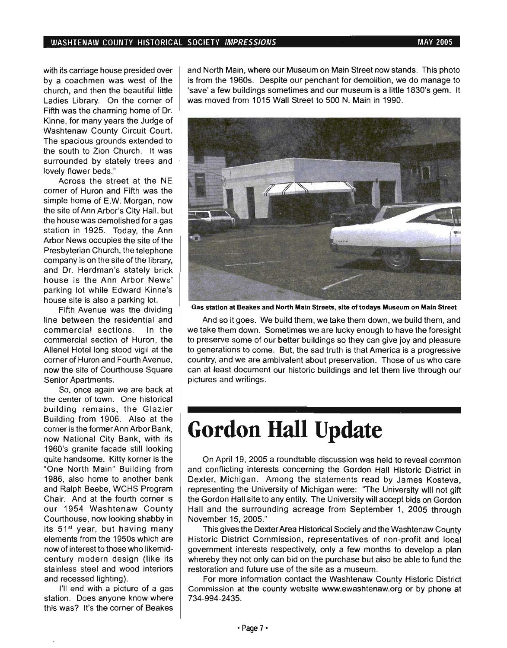with its carriage house presided over by a coachmen was west of the church, and then the beautiful little Ladies Library. On the corner of Fifth was the charming home of Dr. Kinne, for many years the Judge of Washtenaw County Circuit Court. The spacious grounds extended to the south to Zion Church. It was surrounded by stately trees and lovely flower beds."

Across the street at the NE corner of Huron and Fifth was the simple home of E.W. Morgan, now the site of Ann Arbor's City Hall, but the house was demolished for a gas station in 1925. Today, the Ann Arbor News occupies the site of the Presbyterian Church, the telephone company is on the site of the library, and Dr. Herdman's stately brick house is the Ann Arbor News' parking lot while Edward Kinne's house site is also a parking lot.

Fifth Avenue was the dividing line between the residential and commercial sections. In the commercial section of Huron, the Allenel Hotel long stood vigil at the corner of Huron and Fourth Avenue, now the site of Courthouse Square Senior Apartments.

So, once again we are back at the center of town. One historical building remains, the Glazier Building from 1906. Also at the corner is the former Ann Arbor Bank, now National City Bank, with its 1960's granite facade still looking quite handsome. Kitty korner is the "One North Main" Building from 1986, also home to another bank and Ralph Beebe, WCHS Program Chair. And at the fourth corner is our 1954 Washtenaw County Courthouse, now looking shabby in its 51<sup>st</sup> year, but having many elements from the 1950s which are now of interest to those who likemidcentury modern design (like its stainless steel and wood interiors and recessed lighting).

I'll end with a picture of a gas station. Does anyone know where this was? It's the corner of Beakes and North Main, where our Museum on Main Street now stands. This photo is from the 1960s. Despite our penchant for demolition, we do manage to 'save' a few buildings sometimes and our museum is a little 1830's gem. It was moved from 1015 Wall Street to 500 N. Main in 1990.



Gas station at Beakes and North Main Streets, site of todays Museum on Main Street

And so it goes. We build them, we take them down, we build them, and we take them down. Sometimes we are lucky enough to have the foresight to preserve some of our better buildings so they can give joy and pleasure to generations to come. But, the sad truth is that America is a progressive country, and we are ambivalent about preservation. Those of us who care can at least document our historic buildings and let them live through our pictures and writings.

## **Gordon Hall Update**

On April 19, 2005 a roundtable discussion was held to reveal common and conflicting interests concerning the Gordon Hall Historic District in Dexter, Michigan. Among the statements read by James Kosteva, representing the University of Michigan were: "The University will not gift the Gordon Hall site to any entity. The University will accept bids on Gordon Hall and the surrounding acreage from September 1, 2005 through November 15, 2005."

This gives the Dexter Area Historical Society and the Washtenaw County Historic District Commission, representatives of non-profit and local government interests respectively, only a few months to develop a plan whereby they not only can bid on the purchase but also be able to fund the restoration and future use of the site as a museum.

For more information contact the Washtenaw County Historic District Commission at the county website www.ewashtenaw.org or by phone at 734-994-2435.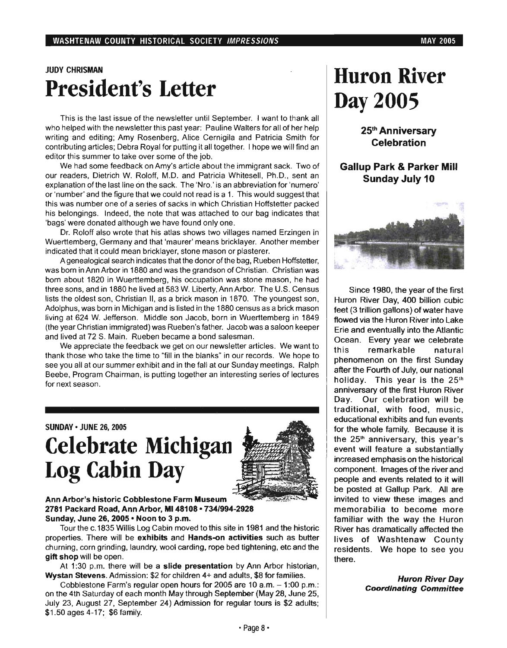### JUDY CHRISMAN President's Letter

This is the last issue of the newsletter until September. I want to thank all who helped with the newsletter this past year: Pauline Walters for all of her help writing and editing; Amy Rosenberg, Alice Cernigila and Patricia Smith for contributing articles; Debra Royal for putting it all together. I hope we will find an editor this summer to take over some of the job.

We had some feedback on Amy's article about the immigrant sack. Two of our readers, Dietrich W. Roloff, M.D. and Patricia Whitesell, Ph.D., sent an explanation of the last line on the sack. The 'Nro.' is an abbreviation for 'numero' or 'number' and the figure that we could not read is a 1. This would suggest that this was number one of a series of sacks in which Christian Hoffstetter packed his belongings. Indeed, the note that was attached to our bag indicates that 'bags' were donated although we have found only one.

Dr. Roloff also wrote that his atlas shows two villages named Erzingen in Wuerttemberg, Germany and that 'maurer' means bricklayer. Another member indicated that it could mean bricklayer, stone mason or plasterer.

A genealogical search indicates that the donor of the bag, Rueben Hoffstetter, was born in Ann Arbor in 1880 and was the grandson of Christian. Christian was born about 1820 in Wuerttemberg, his occupation was stone mason, he had three sons, and in 1880 he lived at 583 W. Liberty, Ann Arbor. The U.S. Census lists the oldest son, Christian II, as a brick mason in 1870. The youngest son, Adolphus, was born in Michigan and is listed in the 1880 census as a brick mason living at 624 W. Jefferson. Middle son Jacob, born in Wuerttemberg in 1849 (the year Christian immigrated) was Rueben's father. Jacob was a saloon keeper and lived at 72 S. Main. Rueben became a bond salesman.

We appreciate the feedback we get on our newsletter articles. We want to thank those who take the time to "fill in the blanks" in our records. We hope to see you all at our summer exhibit and in the fall at our Sunday meetings. Ralph Beebe, Program Chairman, is putting together an interesting series of lectures for next season.

SUNDAY' JUNE 26, 2005

## Celebrate Michigan Log Cabin Day



### Ann Arbor's historic Cobblestone Farm Museum 2781 Packard Road, Ann Arbor, M148108· 734/994-2928 Sunday, June 26, 2005 • Noon to 3 p.m.

Tourthe c.1835 Willis Log Cabin moved to this site in 1981 and the historic properties. There will be exhibits and Hands-on activities such as butter churning, corn grinding, laundry, wool carding, rope bed tightening, etc and the gift shop will be open.

At 1:30 p.m. there will be a slide presentation by Ann Arbor historian, Wystan Stevens. Admission: \$2 for children 4+ and adults, \$8 for families.

Cobblestone Farm's regular open hours for 2005 are 10 a.m.  $-1:00$  p.m.: on the 4th Saturday of each month May through September (May 28, June 25, July 23, August 27, September 24) Admission for regular tours is \$2 adults; \$1.50 ages 4-17; \$6 family.

## Huron River Day 2005

25th Anniversary Celebration

### Gallup Park & Parker Mill Sunday July 10



Since 1980, the year of the first Huron River Day, 400 billion cubic feet (3 trillion gallons) of water have flowed via the Huron River into Lake Erie and eventually into the Atlantic Ocean. Every year we celebrate this remarkable natural phenomenon on the first Sunday after the Fourth of July, our national holiday. This year is the  $25<sup>th</sup>$ anniversary of the first Huron River Day. Our celebration will be traditional, with food, music, educational exhibits and fun events for the whole family. Because it is the  $25<sup>th</sup>$  anniversary, this year's event will feature a substantially increased emphasis on the historical component. Images of the river and people and events related to it will be posted at Gallup Park. All are invited to view these images and memorabilia to become more familiar with the way the Huron River has dramatically affected the lives of Washtenaw County residents. We hope to see you there.

> Huron River Day Coordinating Committee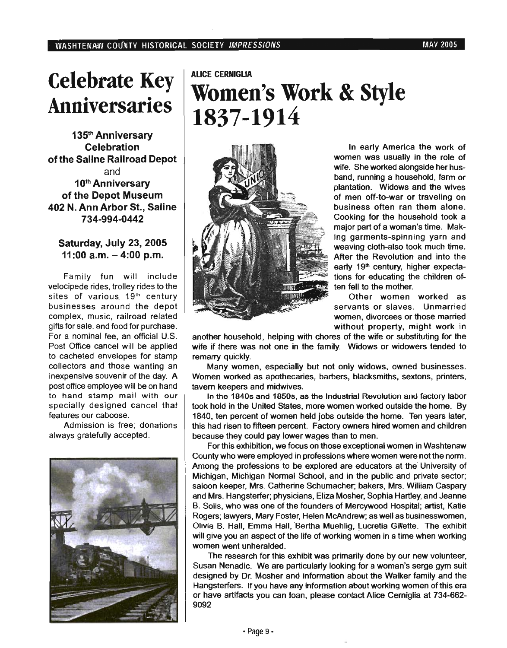## **Celebrate Key Anniversaries**

135th Anniversary Celebration ofthe Saline Railroad Depot and 10<sup>th</sup> Anniversary of the Depot Museum 402 N. Ann Arbor St., Saline 734-994-0442

### Saturday, July 23, 2005  $11:00$  a.m.  $-4:00$  p.m.

Family fun will include velocipede rides, trolley rides to the sites of various, 19<sup>th</sup> century businesses around the depot complex, music, railroad related gifts for sale, and food for purchase. For a nominal fee, an official U.S. Post Office cancel will be applied to cacheted envelopes for stamp collectors and those wanting an inexpensive souvenir of the day. A post office employee will be on hand to hand stamp mail with our specially designed cancel that features our caboose.

Admission is free; donations always gratefully accepted.



## ALICE CERNIGLIA **Women's Work** & Style **1837-1914**



In early America the work of women was usually in the role of wife. She worked alongside her husband, running a household, farm or plantation. Widows and the wives of men off-to-war or traveling on business often ran them alone. Cooking for the household took a major part of a woman's time. Making garments-spinning yarn and weaving cloth-also took much time. After the Revolution and into the early 19<sup>th</sup> century, higher expectations for educating the children often fell to the mother.

Other women worked as servants or slaves. Unmarried women, divorcees or those married without property, might work in

another household, helping with chores of the wife or substituting for the wife if there was not one in the family. Widows or widowers tended to remarry quickly.

Many women, especially but not only widows, owned businesses. Women worked as apothecaries, barbers, blacksmiths, sextons, printers, tavern keepers and midwives.

In the 1840s and 1850s, as the Industrial Revolution and factory labor took hold in the United States, more women worked outside the home. By 1840, ten percent of women held jobs outside the home. Ten years later, this had risen to fifteen percent. Factory owners hired women and children because they could pay lower wages than to men.

For this exhibition, we focus on those exceptional women in Washtenaw County who were employed in professions where women were not the norm. Among the professions to be explored are educators at the' University of Michigan, Michigan Normal School, and in the public and private sector; saloon keeper, Mrs. Catherine Schumacher; bakers, Mrs. William Caspary and Mrs. Hangsterfer; physicians, Eliza Mosher, Sophia Hartley, and Jeanne B. Solis, who was one of the founders of Mercywood Hospital; artist, Katie Rogers; lawyers, Mary Foster, Helen McAndrew; as well as businesswomen, Olivia B. Hall, Emma Hall, Bertha Muehlig, Lucretia Gillette. The exhibit will give you an aspect of the life of working women in a time when working women went unheralded.

The research for this exhibit was primarily done by our new volunteer, Susan Nenadic. We are particulany looking for a woman's serge gym suit designed by Dr. Mosher and information about the Walker family and the Hangsterfers, If you have any information about working women of this era or have artifacts you can loan, please contact Alice Cerniglia at 734-662- 9092